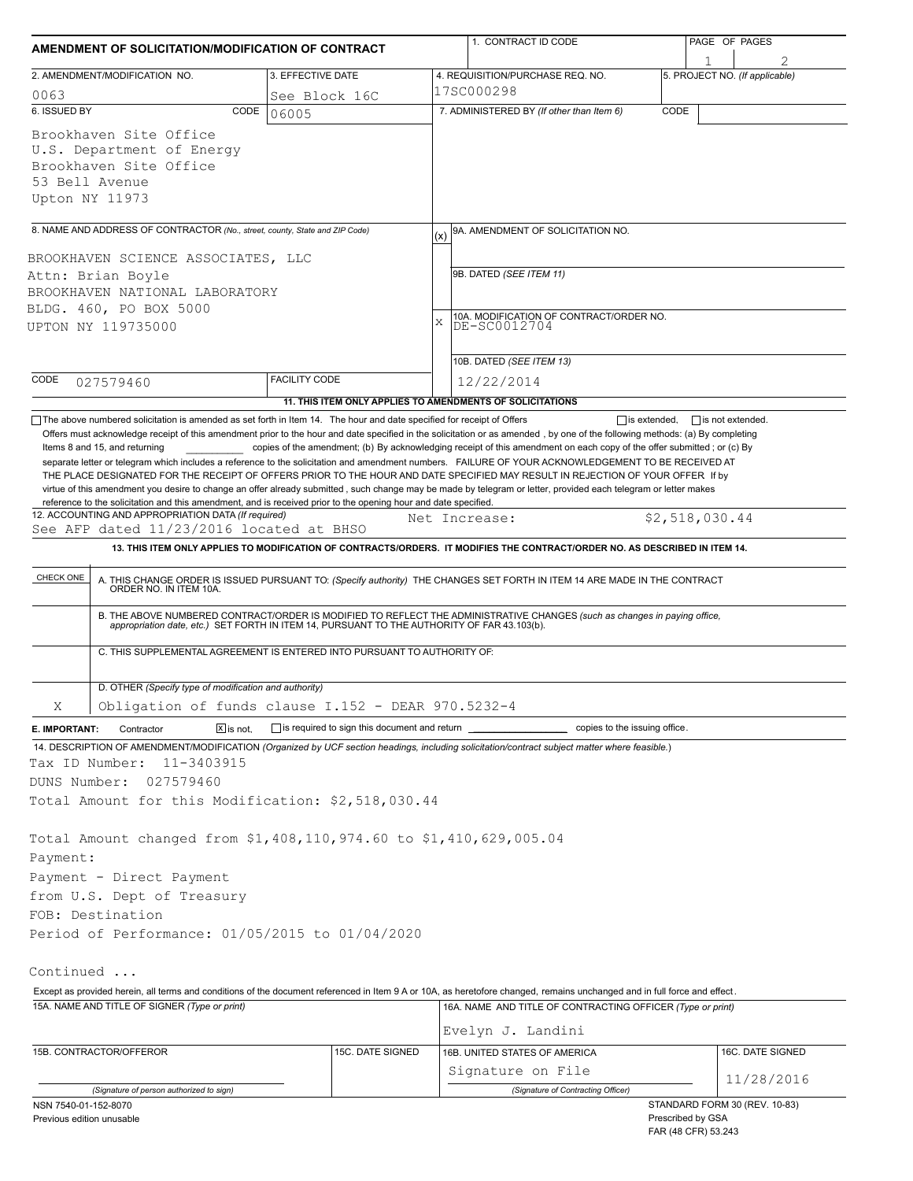| AMENDMENT OF SOLICITATION/MODIFICATION OF CONTRACT                                                                                                                                                                                                                                                                                                                                                                                                                                                                                                                                                                                                                              |                              |                                                                          |               | 1. CONTRACT ID CODE                                                                                                                                                                                                   | PAGE OF PAGES |                                                    |  |  |  |
|---------------------------------------------------------------------------------------------------------------------------------------------------------------------------------------------------------------------------------------------------------------------------------------------------------------------------------------------------------------------------------------------------------------------------------------------------------------------------------------------------------------------------------------------------------------------------------------------------------------------------------------------------------------------------------|------------------------------|--------------------------------------------------------------------------|---------------|-----------------------------------------------------------------------------------------------------------------------------------------------------------------------------------------------------------------------|---------------|----------------------------------------------------|--|--|--|
| 2. AMENDMENT/MODIFICATION NO.                                                                                                                                                                                                                                                                                                                                                                                                                                                                                                                                                                                                                                                   |                              | 3. EFFECTIVE DATE                                                        |               | 4. REQUISITION/PURCHASE REQ. NO.                                                                                                                                                                                      |               | 1<br>5. PROJECT NO. (If applicable)                |  |  |  |
| 0063                                                                                                                                                                                                                                                                                                                                                                                                                                                                                                                                                                                                                                                                            |                              | See Block 16C                                                            |               | 17SC000298                                                                                                                                                                                                            |               |                                                    |  |  |  |
| 6. ISSUED BY                                                                                                                                                                                                                                                                                                                                                                                                                                                                                                                                                                                                                                                                    | CODE                         | 06005                                                                    |               | 7. ADMINISTERED BY (If other than Item 6)                                                                                                                                                                             | CODE          |                                                    |  |  |  |
| Brookhaven Site Office<br>U.S. Department of Energy<br>Brookhaven Site Office<br>53 Bell Avenue<br>Upton NY 11973                                                                                                                                                                                                                                                                                                                                                                                                                                                                                                                                                               |                              |                                                                          |               |                                                                                                                                                                                                                       |               |                                                    |  |  |  |
| 8. NAME AND ADDRESS OF CONTRACTOR (No., street, county, State and ZIP Code)                                                                                                                                                                                                                                                                                                                                                                                                                                                                                                                                                                                                     |                              |                                                                          | (x)           | 9A. AMENDMENT OF SOLICITATION NO.                                                                                                                                                                                     |               |                                                    |  |  |  |
| BROOKHAVEN SCIENCE ASSOCIATES, LLC<br>Attn: Brian Boyle<br>BROOKHAVEN NATIONAL LABORATORY<br>BLDG. 460, PO BOX 5000<br>UPTON NY 119735000                                                                                                                                                                                                                                                                                                                                                                                                                                                                                                                                       |                              |                                                                          | X             | 9B. DATED (SEE ITEM 11)<br>10A. MODIFICATION OF CONTRACT/ORDER NO.<br>DE-SC0012704                                                                                                                                    |               |                                                    |  |  |  |
|                                                                                                                                                                                                                                                                                                                                                                                                                                                                                                                                                                                                                                                                                 |                              |                                                                          |               |                                                                                                                                                                                                                       |               |                                                    |  |  |  |
|                                                                                                                                                                                                                                                                                                                                                                                                                                                                                                                                                                                                                                                                                 |                              |                                                                          |               | 10B. DATED (SEE ITEM 13)                                                                                                                                                                                              |               |                                                    |  |  |  |
| CODE<br>027579460                                                                                                                                                                                                                                                                                                                                                                                                                                                                                                                                                                                                                                                               |                              | <b>FACILITY CODE</b>                                                     |               | 12/22/2014                                                                                                                                                                                                            |               |                                                    |  |  |  |
| The above numbered solicitation is amended as set forth in Item 14. The hour and date specified for receipt of Offers                                                                                                                                                                                                                                                                                                                                                                                                                                                                                                                                                           |                              | 11. THIS ITEM ONLY APPLIES TO AMENDMENTS OF SOLICITATIONS                |               |                                                                                                                                                                                                                       |               | $\Box$ is extended. $\Box$ is not extended.        |  |  |  |
| separate letter or telegram which includes a reference to the solicitation and amendment numbers. FAILURE OF YOUR ACKNOWLEDGEMENT TO BE RECEIVED AT<br>THE PLACE DESIGNATED FOR THE RECEIPT OF OFFERS PRIOR TO THE HOUR AND DATE SPECIFIED MAY RESULT IN REJECTION OF YOUR OFFER If by<br>virtue of this amendment you desire to change an offer already submitted, such change may be made by telegram or letter, provided each telegram or letter makes<br>reference to the solicitation and this amendment, and is received prior to the opening hour and date specified.<br>12. ACCOUNTING AND APPROPRIATION DATA (If required)<br>See AFP dated 11/23/2016 located at BHSO |                              |                                                                          | Net Increase: |                                                                                                                                                                                                                       |               | \$2,518,030.44                                     |  |  |  |
|                                                                                                                                                                                                                                                                                                                                                                                                                                                                                                                                                                                                                                                                                 |                              |                                                                          |               | 13. THIS ITEM ONLY APPLIES TO MODIFICATION OF CONTRACTS/ORDERS. IT MODIFIES THE CONTRACT/ORDER NO. AS DESCRIBED IN ITEM 14.                                                                                           |               |                                                    |  |  |  |
| CHECK ONE                                                                                                                                                                                                                                                                                                                                                                                                                                                                                                                                                                                                                                                                       |                              |                                                                          |               | A. THIS CHANGE ORDER IS ISSUED PURSUANT TO: (Specify authority) THE CHANGES SET FORTH IN ITEM 14 ARE MADE IN THE CONTRACT ORDER NO. IN ITEM 10A.                                                                      |               |                                                    |  |  |  |
|                                                                                                                                                                                                                                                                                                                                                                                                                                                                                                                                                                                                                                                                                 |                              |                                                                          |               | B. THE ABOVE NUMBERED CONTRACT/ORDER IS MODIFIED TO REFLECT THE ADMINISTRATIVE CHANGES (such as changes in paying office, appropriation date, etc.) SET FORTH IN ITEM 14, PURSUANT TO THE AUTHORITY OF FAR 43.103(b). |               |                                                    |  |  |  |
|                                                                                                                                                                                                                                                                                                                                                                                                                                                                                                                                                                                                                                                                                 |                              | C. THIS SUPPLEMENTAL AGREEMENT IS ENTERED INTO PURSUANT TO AUTHORITY OF: |               |                                                                                                                                                                                                                       |               |                                                    |  |  |  |
| D. OTHER (Specify type of modification and authority)                                                                                                                                                                                                                                                                                                                                                                                                                                                                                                                                                                                                                           |                              |                                                                          |               |                                                                                                                                                                                                                       |               |                                                    |  |  |  |
| Χ                                                                                                                                                                                                                                                                                                                                                                                                                                                                                                                                                                                                                                                                               |                              | Obligation of funds clause I.152 - DEAR 970.5232-4                       |               |                                                                                                                                                                                                                       |               |                                                    |  |  |  |
| Contractor<br>E. IMPORTANT:                                                                                                                                                                                                                                                                                                                                                                                                                                                                                                                                                                                                                                                     | $\boxed{\mathsf{X}}$ is not. |                                                                          |               | copies to the issuing office.                                                                                                                                                                                         |               |                                                    |  |  |  |
| 14. DESCRIPTION OF AMENDMENT/MODIFICATION (Organized by UCF section headings, including solicitation/contract subject matter where feasible.)<br>Tax ID Number:<br>11-3403915                                                                                                                                                                                                                                                                                                                                                                                                                                                                                                   |                              |                                                                          |               |                                                                                                                                                                                                                       |               |                                                    |  |  |  |
| DUNS Number:<br>027579460                                                                                                                                                                                                                                                                                                                                                                                                                                                                                                                                                                                                                                                       |                              |                                                                          |               |                                                                                                                                                                                                                       |               |                                                    |  |  |  |
| Total Amount for this Modification: \$2,518,030.44                                                                                                                                                                                                                                                                                                                                                                                                                                                                                                                                                                                                                              |                              |                                                                          |               |                                                                                                                                                                                                                       |               |                                                    |  |  |  |
| Total Amount changed from \$1,408,110,974.60 to \$1,410,629,005.04<br>Payment:<br>Payment - Direct Payment                                                                                                                                                                                                                                                                                                                                                                                                                                                                                                                                                                      |                              |                                                                          |               |                                                                                                                                                                                                                       |               |                                                    |  |  |  |
| from U.S. Dept of Treasury                                                                                                                                                                                                                                                                                                                                                                                                                                                                                                                                                                                                                                                      |                              |                                                                          |               |                                                                                                                                                                                                                       |               |                                                    |  |  |  |
| FOB: Destination                                                                                                                                                                                                                                                                                                                                                                                                                                                                                                                                                                                                                                                                |                              |                                                                          |               |                                                                                                                                                                                                                       |               |                                                    |  |  |  |
| Period of Performance: 01/05/2015 to 01/04/2020                                                                                                                                                                                                                                                                                                                                                                                                                                                                                                                                                                                                                                 |                              |                                                                          |               |                                                                                                                                                                                                                       |               |                                                    |  |  |  |
|                                                                                                                                                                                                                                                                                                                                                                                                                                                                                                                                                                                                                                                                                 |                              |                                                                          |               |                                                                                                                                                                                                                       |               |                                                    |  |  |  |
| Continued                                                                                                                                                                                                                                                                                                                                                                                                                                                                                                                                                                                                                                                                       |                              |                                                                          |               |                                                                                                                                                                                                                       |               |                                                    |  |  |  |
| Except as provided herein, all terms and conditions of the document referenced in Item 9 A or 10A, as heretofore changed, remains unchanged and in full force and effect.                                                                                                                                                                                                                                                                                                                                                                                                                                                                                                       |                              |                                                                          |               |                                                                                                                                                                                                                       |               |                                                    |  |  |  |
| 15A. NAME AND TITLE OF SIGNER (Type or print)                                                                                                                                                                                                                                                                                                                                                                                                                                                                                                                                                                                                                                   |                              |                                                                          |               | 16A. NAME AND TITLE OF CONTRACTING OFFICER (Type or print)                                                                                                                                                            |               |                                                    |  |  |  |
|                                                                                                                                                                                                                                                                                                                                                                                                                                                                                                                                                                                                                                                                                 |                              |                                                                          |               | Evelyn J. Landini                                                                                                                                                                                                     |               |                                                    |  |  |  |
| 15B. CONTRACTOR/OFFEROR                                                                                                                                                                                                                                                                                                                                                                                                                                                                                                                                                                                                                                                         |                              | 15C. DATE SIGNED                                                         |               | 16B. UNITED STATES OF AMERICA                                                                                                                                                                                         |               | 16C. DATE SIGNED                                   |  |  |  |
|                                                                                                                                                                                                                                                                                                                                                                                                                                                                                                                                                                                                                                                                                 |                              |                                                                          |               | Signature on File                                                                                                                                                                                                     |               | 11/28/2016                                         |  |  |  |
| (Signature of person authorized to sign)                                                                                                                                                                                                                                                                                                                                                                                                                                                                                                                                                                                                                                        |                              |                                                                          |               | (Signature of Contracting Officer)                                                                                                                                                                                    |               |                                                    |  |  |  |
| NSN 7540-01-152-8070<br>Previous edition unusable                                                                                                                                                                                                                                                                                                                                                                                                                                                                                                                                                                                                                               |                              |                                                                          |               |                                                                                                                                                                                                                       |               | STANDARD FORM 30 (REV. 10-83)<br>Prescribed by GSA |  |  |  |